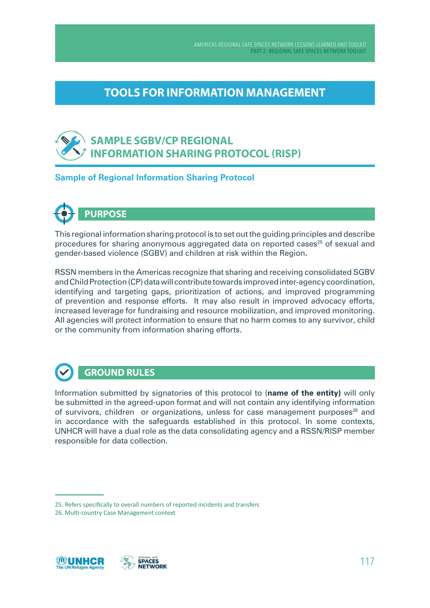AMERICAS REGIONAL SAFE SPACES NETWORK LESSONS LEARNED AND TOOLKIT PART 2: RegIonAl SAfe SPAceS neTwoRk ToolkIT

## **TOOLS FOR INFORMATION MANAGEMENT**

## **SAMPLE SGBV/CP REGIONAL INFORMATION SHARING PROTOCOL (RISP)**

#### **Sample of Regional Information Sharing Protocol**



This regional information sharing protocol is to set out the guiding principles and describe procedures for sharing anonymous aggregated data on reported cases<sup>25</sup> of sexual and gender-based violence (SGBV) and children at risk within the Region**.**

RSSN members in the Americas recognize that sharing and receiving consolidated SGBV and Child Protection (CP) data will contribute towards improved inter-agency coordination, identifying and targeting gaps, prioritization of actions, and improved programming of prevention and response efforts. It may also result in improved advocacy efforts, increased leverage for fundraising and resource mobilization, and improved monitoring. All agencies will protect information to ensure that no harm comes to any survivor, child or the community from information sharing efforts.



### **GROUND RULES**

Information submitted by signatories of this protocol to (**name of the entity)** will only be submitted in the agreed-upon format and will not contain any identifying information of survivors, children or organizations, unless for case management purposes<sup>26</sup> and in accordance with the safeguards established in this protocol. In some contexts, UNHCR will have a dual role as the data consolidating agency and a RSSN/RISP member responsible for data collection.



<sup>25.</sup> Refers specifcally to overall numbers of reported incidents and transfers

<sup>26.</sup> Multi-country Case Management context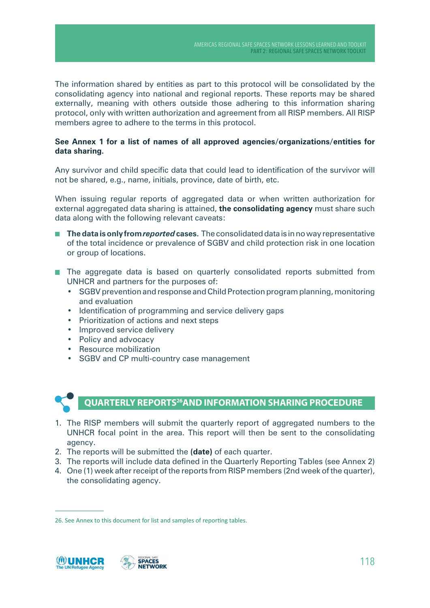The information shared by entities as part to this protocol will be consolidated by the consolidating agency into national and regional reports. These reports may be shared externally, meaning with others outside those adhering to this information sharing protocol, only with written authorization and agreement from all RISP members. All RISP members agree to adhere to the terms in this protocol.

#### **See Annex 1 for a list of names of all approved agencies/organizations/entities for data sharing.**

Any survivor and child specific data that could lead to identification of the survivor will not be shared, e.g., name, initials, province, date of birth, etc.

When issuing regular reports of aggregated data or when written authorization for external aggregated data sharing is attained, **the consolidating agency** must share such data along with the following relevant caveats:

- **The data is only from** *reported* **cases**. The consolidated data is in no way representative of the total incidence or prevalence of SGBV and child protection risk in one location or group of locations.
- The aggregate data is based on quarterly consolidated reports submitted from UNHCR and partners for the purposes of:
	- SGBV prevention and response and Child Protection program planning, monitoring and evaluation
	- Identification of programming and service delivery gaps
	- • Prioritization of actions and next steps
	- Improved service delivery
	- Policy and advocacy
	- • Resource mobilization
	- • SGBV and CP multi-country case management



#### **QUARTERLY REPORTS26AND INFORMATION SHARING PROCEDURE**

- 1. The RISP members will submit the quarterly report of aggregated numbers to the UNHCR focal point in the area. This report will then be sent to the consolidating agency.
- 2. The reports will be submitted the **(date)** of each quarter.
- 3. The reports will include data defined in the Quarterly Reporting Tables (see Annex 2)
- 4. One (1) week after receipt of the reports from RISP members (2nd week of the quarter), the consolidating agency.

<sup>26.</sup> See Annex to this document for list and samples of reporting tables.

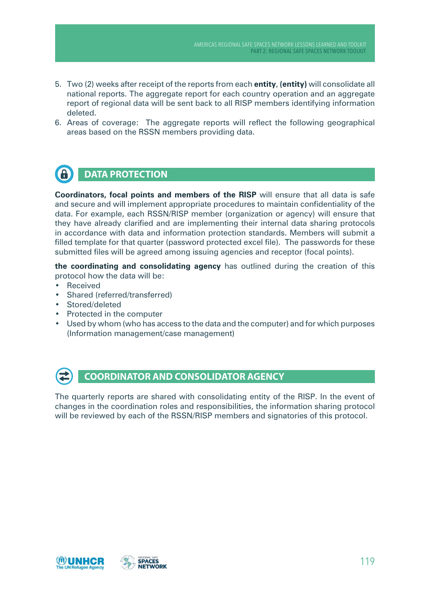- 5. Two (2) weeks after receipt of the reports from each **entity**, **(entity)** will consolidate all national reports. The aggregate report for each country operation and an aggregate report of regional data will be sent back to all RISP members identifying information deleted.
- 6. Areas of coverage: The aggregate reports will reflect the following geographical areas based on the RSSN members providing data.

#### G **DATA PROTECTION**

**Coordinators, focal points and members of the RISP** will ensure that all data is safe and secure and will implement appropriate procedures to maintain confidentiality of the data. For example, each RSSN/RISP member (organization or agency) will ensure that they have already clarified and are implementing their internal data sharing protocols in accordance with data and information protection standards. Members will submit a filled template for that quarter (password protected excel file). The passwords for these submitted files will be agreed among issuing agencies and receptor (focal points).

**the coordinating and consolidating agency** has outlined during the creation of this protocol how the data will be:

- **Received**
- Shared (referred/transferred)
- Stored/deleted
- • Protected in the computer
- Used by whom (who has access to the data and the computer) and for which purposes (Information management/case management)



#### **COORDINATOR AND CONSOLIDATOR AGENCY**

The quarterly reports are shared with consolidating entity of the RISP. In the event of changes in the coordination roles and responsibilities, the information sharing protocol will be reviewed by each of the RSSN/RISP members and signatories of this protocol.

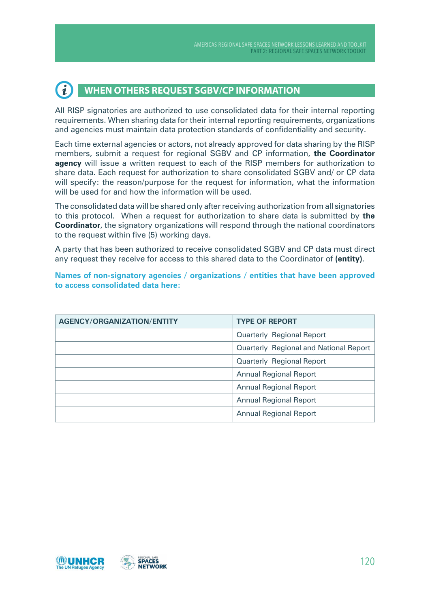#### $\tilde{\mathbf{1}}$ **WHEN OTHERS REQUEST SGBV/CP INFORMATION**

All RISP signatories are authorized to use consolidated data for their internal reporting requirements. When sharing data for their internal reporting requirements, organizations and agencies must maintain data protection standards of confidentiality and security.

Each time external agencies or actors, not already approved for data sharing by the RISP members, submit a request for regional SGBV and CP information, **the Coordinator agency** will issue a written request to each of the RISP members for authorization to share data. Each request for authorization to share consolidated SGBV and/ or CP data will specify: the reason/purpose for the request for information, what the information will be used for and how the information will be used.

The consolidated data will be shared only after receiving authorization from all signatories to this protocol. When a request for authorization to share data is submitted by **the Coordinator**, the signatory organizations will respond through the national coordinators to the request within five (5) working days.

A party that has been authorized to receive consolidated SGBV and CP data must direct any request they receive for access to this shared data to the Coordinator of **(entity)**.

**Names of non-signatory agencies / organizations / entities that have been approved to access consolidated data here:**

| <b>AGENCY/ORGANIZATION/ENTITY</b> | <b>TYPE OF REPORT</b>                         |
|-----------------------------------|-----------------------------------------------|
|                                   | <b>Quarterly Regional Report</b>              |
|                                   | <b>Quarterly Regional and National Report</b> |
|                                   | <b>Quarterly Regional Report</b>              |
|                                   | <b>Annual Regional Report</b>                 |
|                                   | <b>Annual Regional Report</b>                 |
|                                   | <b>Annual Regional Report</b>                 |
|                                   | <b>Annual Regional Report</b>                 |

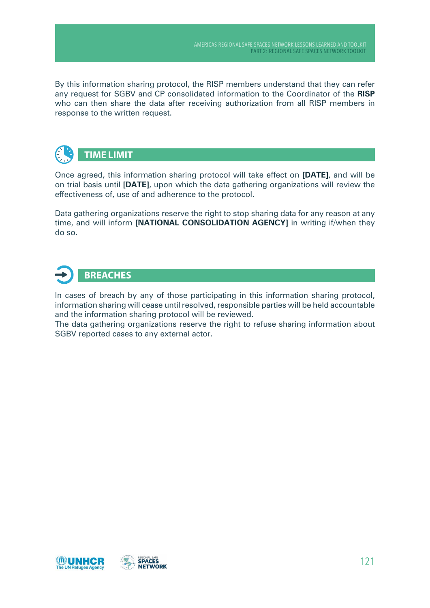By this information sharing protocol, the RISP members understand that they can refer any request for SGBV and CP consolidated information to the Coordinator of the **RISP** who can then share the data after receiving authorization from all RISP members in response to the written request.



Once agreed, this information sharing protocol will take effect on **[DATE]**, and will be on trial basis until **[DATE]**, upon which the data gathering organizations will review the effectiveness of, use of and adherence to the protocol.

Data gathering organizations reserve the right to stop sharing data for any reason at any time, and will inform **[NATIoNAL CoNSoLIDATIoN AGENCy]** in writing if/when they do so.



In cases of breach by any of those participating in this information sharing protocol, information sharing will cease until resolved, responsible parties will be held accountable and the information sharing protocol will be reviewed.

The data gathering organizations reserve the right to refuse sharing information about SGBV reported cases to any external actor.

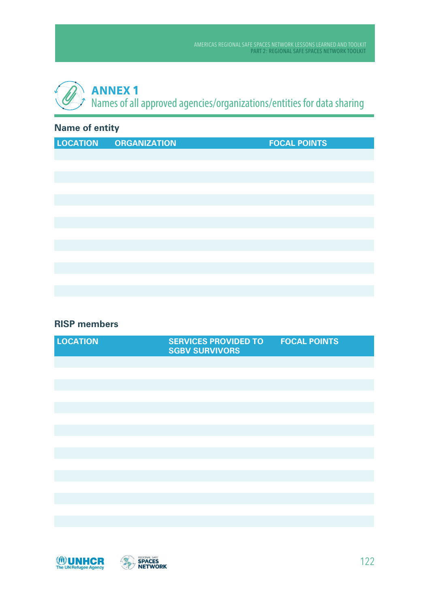# **ANNEX 1** Names of all approved agencies/organizations/entities for data sharing

### **Name of entity**

| <b>LOCATION</b> | <b>ORGANIZATION</b> | <b>FOCAL POINTS</b> |
|-----------------|---------------------|---------------------|
|                 |                     |                     |
|                 |                     |                     |
|                 |                     |                     |
|                 |                     |                     |
|                 |                     |                     |
|                 |                     |                     |
|                 |                     |                     |
|                 |                     |                     |
|                 |                     |                     |
|                 |                     |                     |
|                 |                     |                     |
|                 |                     |                     |
|                 |                     |                     |

#### **RISP members**

| <b>LOCATION</b> | <b>SERVICES PROVIDED TO</b><br><b>SGBV SURVIVORS</b> | <b>FOCAL POINTS</b> |
|-----------------|------------------------------------------------------|---------------------|
|                 |                                                      |                     |
|                 |                                                      |                     |
|                 |                                                      |                     |
|                 |                                                      |                     |
|                 |                                                      |                     |
|                 |                                                      |                     |
|                 |                                                      |                     |
|                 |                                                      |                     |
|                 |                                                      |                     |
|                 |                                                      |                     |
|                 |                                                      |                     |
|                 |                                                      |                     |
|                 |                                                      |                     |
|                 |                                                      |                     |
|                 |                                                      |                     |

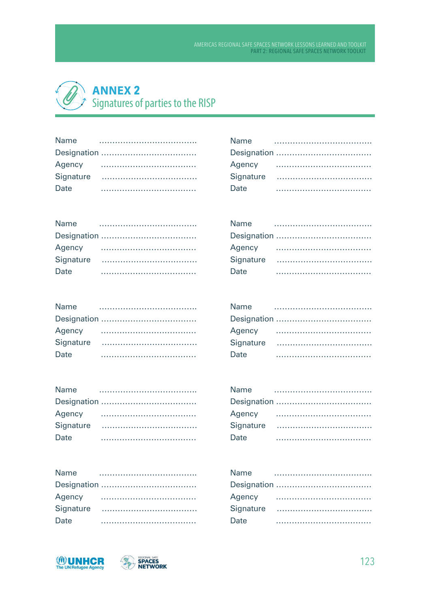## **ANNEX 2** Signatures of parties to the RISP

| Name |  |  |  |  |  |  |  |  |  |  |  |  |  |  |
|------|--|--|--|--|--|--|--|--|--|--|--|--|--|--|
|      |  |  |  |  |  |  |  |  |  |  |  |  |  |  |
|      |  |  |  |  |  |  |  |  |  |  |  |  |  |  |
|      |  |  |  |  |  |  |  |  |  |  |  |  |  |  |
| Date |  |  |  |  |  |  |  |  |  |  |  |  |  |  |

| <b>Name</b> |  |  |  |  |  |  |  |  |  |  |  |  |
|-------------|--|--|--|--|--|--|--|--|--|--|--|--|
|             |  |  |  |  |  |  |  |  |  |  |  |  |
|             |  |  |  |  |  |  |  |  |  |  |  |  |
|             |  |  |  |  |  |  |  |  |  |  |  |  |
| Date        |  |  |  |  |  |  |  |  |  |  |  |  |

| <b>Name</b> |  |  |  |  |  |  |  |  |  |  |  |  |  |  |  |  |
|-------------|--|--|--|--|--|--|--|--|--|--|--|--|--|--|--|--|
|             |  |  |  |  |  |  |  |  |  |  |  |  |  |  |  |  |
|             |  |  |  |  |  |  |  |  |  |  |  |  |  |  |  |  |
|             |  |  |  |  |  |  |  |  |  |  |  |  |  |  |  |  |
| Date        |  |  |  |  |  |  |  |  |  |  |  |  |  |  |  |  |

| Name   |  |  |  |  |  |  |  |  |  |  |  |
|--------|--|--|--|--|--|--|--|--|--|--|--|
|        |  |  |  |  |  |  |  |  |  |  |  |
| Agency |  |  |  |  |  |  |  |  |  |  |  |
|        |  |  |  |  |  |  |  |  |  |  |  |
| Date   |  |  |  |  |  |  |  |  |  |  |  |

| <b>Name</b> |  |  |  |  |  |  |  |  |  |  |  |  |  |  |
|-------------|--|--|--|--|--|--|--|--|--|--|--|--|--|--|
|             |  |  |  |  |  |  |  |  |  |  |  |  |  |  |
| Agency      |  |  |  |  |  |  |  |  |  |  |  |  |  |  |
|             |  |  |  |  |  |  |  |  |  |  |  |  |  |  |
| Date        |  |  |  |  |  |  |  |  |  |  |  |  |  |  |

| <b>Name</b> |  |  |  |  |  |  |  |  |  |  |  |  |  |  |
|-------------|--|--|--|--|--|--|--|--|--|--|--|--|--|--|
|             |  |  |  |  |  |  |  |  |  |  |  |  |  |  |
| Agency      |  |  |  |  |  |  |  |  |  |  |  |  |  |  |
|             |  |  |  |  |  |  |  |  |  |  |  |  |  |  |
| Date        |  |  |  |  |  |  |  |  |  |  |  |  |  |  |

| <b>Name</b> |  |  |  |  |  |  |  |  |  |
|-------------|--|--|--|--|--|--|--|--|--|
|             |  |  |  |  |  |  |  |  |  |
| Agency      |  |  |  |  |  |  |  |  |  |
|             |  |  |  |  |  |  |  |  |  |
| Date        |  |  |  |  |  |  |  |  |  |

| Name   |  |  |  |  |  |  |  |  |  |  |  |  |  |  |  |
|--------|--|--|--|--|--|--|--|--|--|--|--|--|--|--|--|
|        |  |  |  |  |  |  |  |  |  |  |  |  |  |  |  |
| Agency |  |  |  |  |  |  |  |  |  |  |  |  |  |  |  |
|        |  |  |  |  |  |  |  |  |  |  |  |  |  |  |  |
| Date   |  |  |  |  |  |  |  |  |  |  |  |  |  |  |  |

| Name   |  |  |  |  |  |  |  |  |  |  |  |  |
|--------|--|--|--|--|--|--|--|--|--|--|--|--|
|        |  |  |  |  |  |  |  |  |  |  |  |  |
| Agency |  |  |  |  |  |  |  |  |  |  |  |  |
|        |  |  |  |  |  |  |  |  |  |  |  |  |
| Date   |  |  |  |  |  |  |  |  |  |  |  |  |



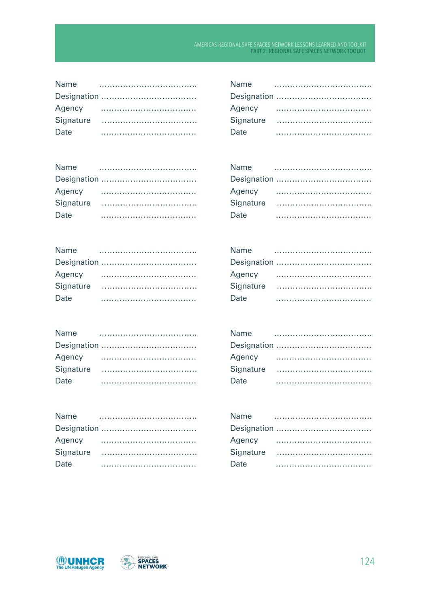| <b>Name</b> |  |  |  |  |  |  |  |  |  |  |  |  |  |  |
|-------------|--|--|--|--|--|--|--|--|--|--|--|--|--|--|
|             |  |  |  |  |  |  |  |  |  |  |  |  |  |  |
| Agency      |  |  |  |  |  |  |  |  |  |  |  |  |  |  |
| Signature   |  |  |  |  |  |  |  |  |  |  |  |  |  |  |
| Date        |  |  |  |  |  |  |  |  |  |  |  |  |  |  |
|             |  |  |  |  |  |  |  |  |  |  |  |  |  |  |

| Name   |  |  |  |  |  |  |  |
|--------|--|--|--|--|--|--|--|
|        |  |  |  |  |  |  |  |
| Agency |  |  |  |  |  |  |  |
|        |  |  |  |  |  |  |  |
| Date   |  |  |  |  |  |  |  |

| <b>Name</b> |  |  |  |  |  |  |  |  |  |  |  |  |
|-------------|--|--|--|--|--|--|--|--|--|--|--|--|
|             |  |  |  |  |  |  |  |  |  |  |  |  |
| Agency      |  |  |  |  |  |  |  |  |  |  |  |  |
|             |  |  |  |  |  |  |  |  |  |  |  |  |
| Date        |  |  |  |  |  |  |  |  |  |  |  |  |

| Name   |  |  |  |  |  |  |  |  |  |  |
|--------|--|--|--|--|--|--|--|--|--|--|
|        |  |  |  |  |  |  |  |  |  |  |
| Agency |  |  |  |  |  |  |  |  |  |  |
|        |  |  |  |  |  |  |  |  |  |  |
| Date   |  |  |  |  |  |  |  |  |  |  |

| Date |  |
|------|--|
|      |  |

| <b>Name</b><br>$\mathcal{L} = \{ \mathbf{L} \mathbf{L} \mathbf{L} \mathbf{L} \mathbf{L} \mathbf{L} \mathbf{L} \mathbf{L} \mathbf{L} \mathbf{L} \mathbf{L} \mathbf{L} \mathbf{L} \mathbf{L} \mathbf{L} \mathbf{L} \mathbf{L} \mathbf{L} \mathbf{L} \mathbf{L} \mathbf{L} \mathbf{L} \mathbf{L} \mathbf{L} \mathbf{L} \mathbf{L} \mathbf{L} \mathbf{L} \mathbf{L} \mathbf{L} \mathbf{L} \mathbf{L} \mathbf{L} \mathbf{L} \mathbf{L} \$ |  |  |  |  |  |  |  |  |  |  |  |  |  |  |
|--------------------------------------------------------------------------------------------------------------------------------------------------------------------------------------------------------------------------------------------------------------------------------------------------------------------------------------------------------------------------------------------------------------------------------------|--|--|--|--|--|--|--|--|--|--|--|--|--|--|
|                                                                                                                                                                                                                                                                                                                                                                                                                                      |  |  |  |  |  |  |  |  |  |  |  |  |  |  |
|                                                                                                                                                                                                                                                                                                                                                                                                                                      |  |  |  |  |  |  |  |  |  |  |  |  |  |  |
|                                                                                                                                                                                                                                                                                                                                                                                                                                      |  |  |  |  |  |  |  |  |  |  |  |  |  |  |
| Date                                                                                                                                                                                                                                                                                                                                                                                                                                 |  |  |  |  |  |  |  |  |  |  |  |  |  |  |

| Name |  |  |  |  |  |  |  |  |  |  |
|------|--|--|--|--|--|--|--|--|--|--|
|      |  |  |  |  |  |  |  |  |  |  |
|      |  |  |  |  |  |  |  |  |  |  |
|      |  |  |  |  |  |  |  |  |  |  |
| Date |  |  |  |  |  |  |  |  |  |  |

| Date |  |  |
|------|--|--|

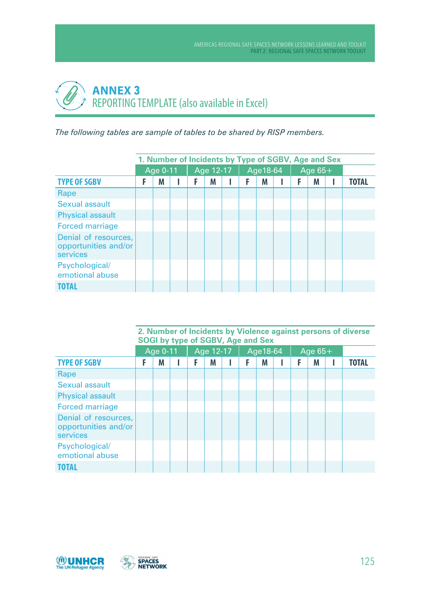# **ANNEX 3** REPORTING TEMPLATE (also available in Excel)

*The following tables are sample of tables to be shared by RISP members.*

|                                                          | 1. Number of Incidents by Type of SGBV, Age and Sex |  |           |  |           |  |           |              |
|----------------------------------------------------------|-----------------------------------------------------|--|-----------|--|-----------|--|-----------|--------------|
|                                                          | Age 0-11                                            |  | Age 12-17 |  | Age 18-64 |  | Age $65+$ |              |
| <b>TYPE OF SGBV</b>                                      | M                                                   |  | M         |  | M         |  | M         | <b>TOTAL</b> |
| Rape                                                     |                                                     |  |           |  |           |  |           |              |
| Sexual assault                                           |                                                     |  |           |  |           |  |           |              |
| <b>Physical assault</b>                                  |                                                     |  |           |  |           |  |           |              |
| <b>Forced marriage</b>                                   |                                                     |  |           |  |           |  |           |              |
| Denial of resources,<br>opportunities and/or<br>services |                                                     |  |           |  |           |  |           |              |
| Psychological/<br>emotional abuse                        |                                                     |  |           |  |           |  |           |              |
| <b>TOTAL</b>                                             |                                                     |  |           |  |           |  |           |              |

|                                                          |   |          | <b>SOGI by type of SGBV, Age and Sex</b> |           |  |           |  |           | 2. Number of Incidents by Violence against persons of diverse |
|----------------------------------------------------------|---|----------|------------------------------------------|-----------|--|-----------|--|-----------|---------------------------------------------------------------|
|                                                          |   | Age 0-11 |                                          | Age 12-17 |  | Age 18-64 |  | Age $65+$ |                                                               |
| <b>TYPE OF SGBV</b>                                      | F | M        | F                                        | M         |  | M         |  | M         | <b>TOTAL</b>                                                  |
| Rape                                                     |   |          |                                          |           |  |           |  |           |                                                               |
| Sexual assault                                           |   |          |                                          |           |  |           |  |           |                                                               |
| <b>Physical assault</b>                                  |   |          |                                          |           |  |           |  |           |                                                               |
| <b>Forced marriage</b>                                   |   |          |                                          |           |  |           |  |           |                                                               |
| Denial of resources,<br>opportunities and/or<br>services |   |          |                                          |           |  |           |  |           |                                                               |
| Psychological/<br>emotional abuse                        |   |          |                                          |           |  |           |  |           |                                                               |
| TOTAL                                                    |   |          |                                          |           |  |           |  |           |                                                               |

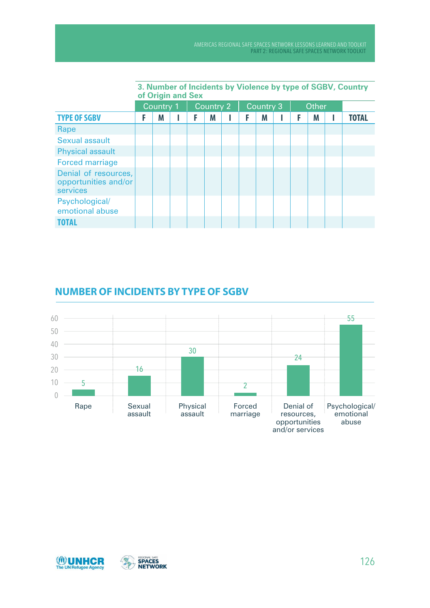|                                                          |   | of Origin and Sex |  |           |  |           |  |              | 3. Number of Incidents by Violence by type of SGBV, Country |
|----------------------------------------------------------|---|-------------------|--|-----------|--|-----------|--|--------------|-------------------------------------------------------------|
|                                                          |   | Country 1         |  | Country 2 |  | Country 3 |  | <b>Other</b> |                                                             |
| <b>TYPE OF SGBV</b>                                      | F | Μ                 |  | M         |  | M         |  | M            | <b>TOTAL</b>                                                |
| Rape                                                     |   |                   |  |           |  |           |  |              |                                                             |
| Sexual assault                                           |   |                   |  |           |  |           |  |              |                                                             |
| <b>Physical assault</b>                                  |   |                   |  |           |  |           |  |              |                                                             |
| <b>Forced marriage</b>                                   |   |                   |  |           |  |           |  |              |                                                             |
| Denial of resources,<br>opportunities and/or<br>services |   |                   |  |           |  |           |  |              |                                                             |
| Psychological/<br>emotional abuse                        |   |                   |  |           |  |           |  |              |                                                             |
| TOTAL                                                    |   |                   |  |           |  |           |  |              |                                                             |

### **NUMBER OF INCIDENTS BY TYPE OF SGBV**



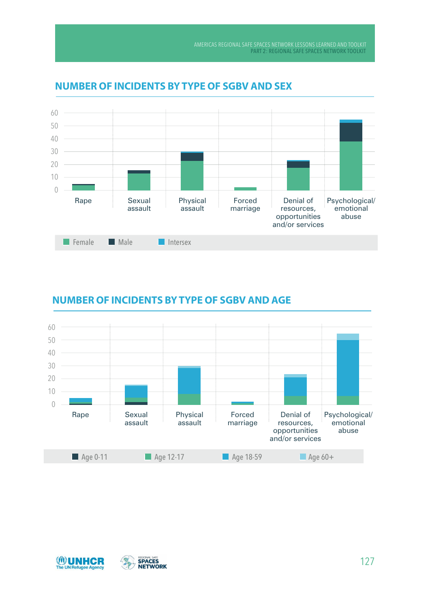

### **NUMBER OF INCIDENTS BY TYPE OF SGBV AND SEX**

### **NUMBER OF INCIDENTS BY TYPE OF SGBV AND AGE**